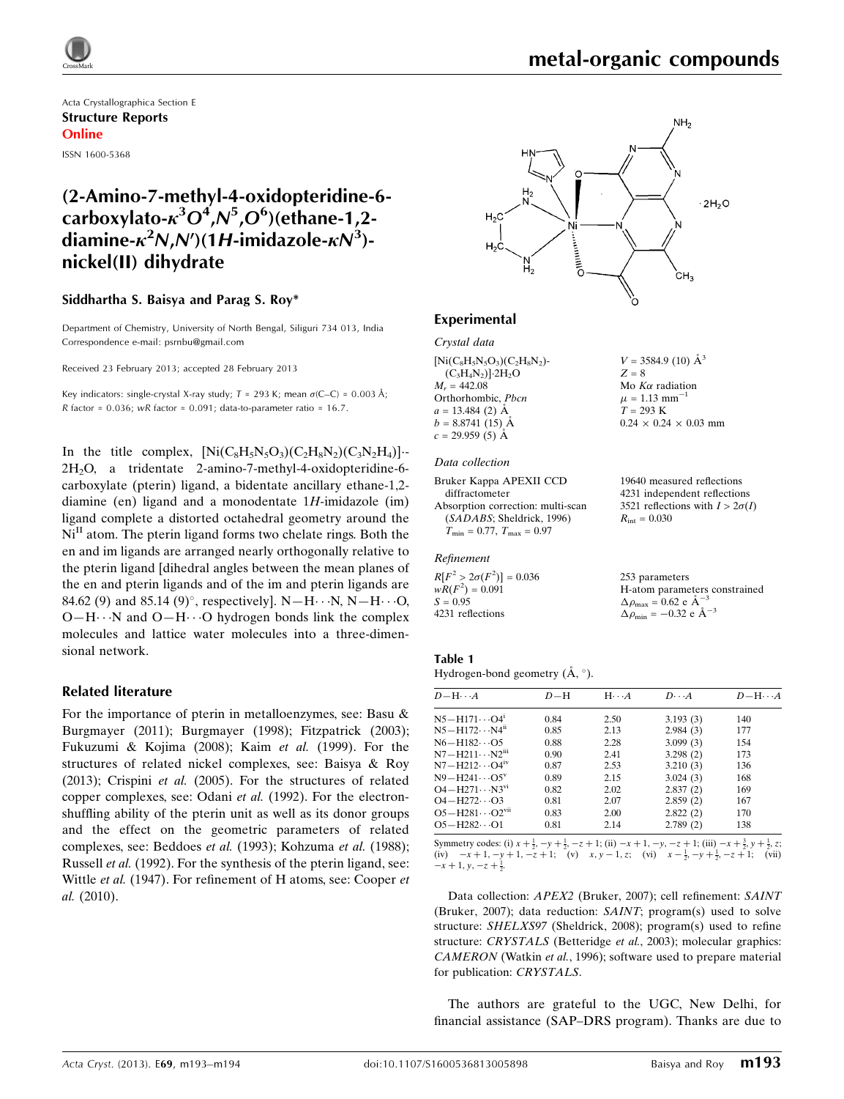

# metal-organic compounds

Acta Crystallographica Section E Structure Reports Online ISSN 1600-5368

# (2-Amino-7-methyl-4-oxidopteridine-6 carboxylato- $\kappa^3 O^4$ ,N<sup>5</sup>,O<sup>6</sup>)(ethane-1,2diamine- $\kappa^2$ N,N')(1H-imidazole- $\kappa$ N $^3$ )nickel(II) dihydrate

### Siddhartha S. Baisya and Parag S. Roy\*

Department of Chemistry, University of North Bengal, Siliguri 734 013, India Correspondence e-mail: [psrnbu@gmail.com](https://scripts.iucr.org/cgi-bin/cr.cgi?rm=pdfbb&cnor=hy2617&bbid=BB18)

Received 23 February 2013; accepted 28 February 2013

Key indicators: single-crystal X-ray study;  $T = 293$  K; mean  $\sigma$ (C–C) = 0.003 Å; R factor =  $0.036$ ; wR factor =  $0.091$ ; data-to-parameter ratio =  $16.7$ .

In the title complex,  $[Ni(C_8H_5N_5O_3)(C_2H_8N_2)(C_3N_2H_4)]$ . 2H2O, a tridentate 2-amino-7-methyl-4-oxidopteridine-6 carboxylate (pterin) ligand, a bidentate ancillary ethane-1,2 diamine (en) ligand and a monodentate  $1H$ -imidazole (im) ligand complete a distorted octahedral geometry around the  $Ni<sup>II</sup>$  atom. The pterin ligand forms two chelate rings. Both the en and im ligands are arranged nearly orthogonally relative to the pterin ligand [dihedral angles between the mean planes of the en and pterin ligands and of the im and pterin ligands are 84.62 (9) and 85.14 (9)°, respectively].  $N-H\cdots N, N-H\cdots O$ ,  $O-H\cdots N$  and  $O-H\cdots O$  hydrogen bonds link the complex molecules and lattice water molecules into a three-dimensional network.

### Related literature

For the importance of pterin in metalloenzymes, see: Basu & Burgmayer (2011); Burgmayer (1998); Fitzpatrick (2003); Fukuzumi & Kojima (2008); Kaim et al. (1999). For the structures of related nickel complexes, see: Baisya & Roy (2013); Crispini et al. (2005). For the structures of related copper complexes, see: Odani et al. (1992). For the electronshuffling ability of the pterin unit as well as its donor groups and the effect on the geometric parameters of related complexes, see: Beddoes et al. (1993); Kohzuma et al. (1988); Russell et al. (1992). For the synthesis of the pterin ligand, see: Wittle et al. (1947). For refinement of H atoms, see: Cooper et al. (2010).



## Experimental

Crystal data  $[Ni(C_8H_5N_5O_3)(C_2H_8N_2)$ - $(C_3H_4N_2)$ ] $\cdot$ 2H<sub>2</sub>O  $M<sub>r</sub> = 442.08$ Orthorhombic, Pbcn  $a = 13.484$  (2)  $\AA$  $b = 8.8741(15)$  Å  $c = 29.959(5)$   $\AA$ 

#### Data collection

```
Bruker Kappa APEXII CCD
  diffractometer
Absorption correction: multi-scan
  (SADABS; Sheldrick, 1996)
  T_{\text{min}} = 0.77, T_{\text{max}} = 0.97
```
### Refinement

 $R[F^2 > 2\sigma(F^2)] = 0.036$  $wR(F^2) = 0.091$  $S = 0.95$ 4231 reflections

19640 measured reflections

 $0.24 \times 0.24 \times 0.03$  mm

 $V = 3584.9$  (10)  $\AA^3$ 

 $Z = 8$ Mo  $K\alpha$  radiation  $\mu = 1.13$  mm<sup>-1</sup>  $T = 293$  K

4231 independent reflections 3521 reflections with  $I > 2\sigma(I)$  $R_{\text{int}} = 0.030$ 

253 parameters H-atom parameters constrained  $\Delta \rho_{\text{max}} = 0.62 \text{ e A}^{-3}$  $\Delta \rho_{\text{min}} = -0.32 \text{ e } \text{\AA}^{-3}$ 

# Table 1

Hydrogen-bond geometry  $(A, \circ)$ .

| $D - H \cdots A$                    | $D-H$ | $H \cdot \cdot \cdot A$ | $D\cdots A$ | $D - H \cdots A$ |
|-------------------------------------|-------|-------------------------|-------------|------------------|
| $N5 - H171 \cdots O4$ <sup>1</sup>  | 0.84  | 2.50                    | 3.193(3)    | 140              |
| $N5 - H172 \cdots N4$ <sup>ii</sup> | 0.85  | 2.13                    | 2.984(3)    | 177              |
| $N6 - H182 \cdots O5$               | 0.88  | 2.28                    | 3.099(3)    | 154              |
| $N7 - H211 \cdots N2m$              | 0.90  | 2.41                    | 3.298(2)    | 173              |
| $N7 - H212 \cdots Q4^{IV}$          | 0.87  | 2.53                    | 3.210(3)    | 136              |
| $N9 - H241 \cdots O5^V$             | 0.89  | 2.15                    | 3.024(3)    | 168              |
| $O4 - H271 \cdots N3^{vi}$          | 0.82  | 2.02                    | 2.837(2)    | 169              |
| $O4 - H272 \cdots O3$               | 0.81  | 2.07                    | 2.859(2)    | 167              |
| $O5 - H281 \cdots O2^{vu}$          | 0.83  | 2.00                    | 2.822(2)    | 170              |
| $O5 - H282 \cdots O1$               | 0.81  | 2.14                    | 2.789(2)    | 138              |
|                                     |       |                         |             |                  |

Symmetry codes: (i)  $x + \frac{1}{2}$ ,  $-y + \frac{1}{2}$ ,  $-z + 1$ ; (ii)  $-x + 1$ ,  $-y$ ,  $-z + 1$ ; (iii)  $-x + \frac{3}{2}$ ,  $y + \frac{1}{2}$ ,  $z$ ; (iv)  $x - 1$ ,  $-z + 1$ ; (vii)  $x - \frac{1}{2}$ ,  $-y + \frac{1}{2}$ ,  $-z + 1$ ; (vii)  $-x+1, y, -z+\frac{1}{2}.$ 

Data collection: APEX2 (Bruker, 2007); cell refinement: SAINT (Bruker, 2007); data reduction: SAINT; program(s) used to solve structure: SHELXS97 (Sheldrick, 2008); program(s) used to refine structure: CRYSTALS (Betteridge et al., 2003); molecular graphics: CAMERON (Watkin et al., 1996); software used to prepare material for publication: CRYSTALS.

The authors are grateful to the UGC, New Delhi, for financial assistance (SAP–DRS program). Thanks are due to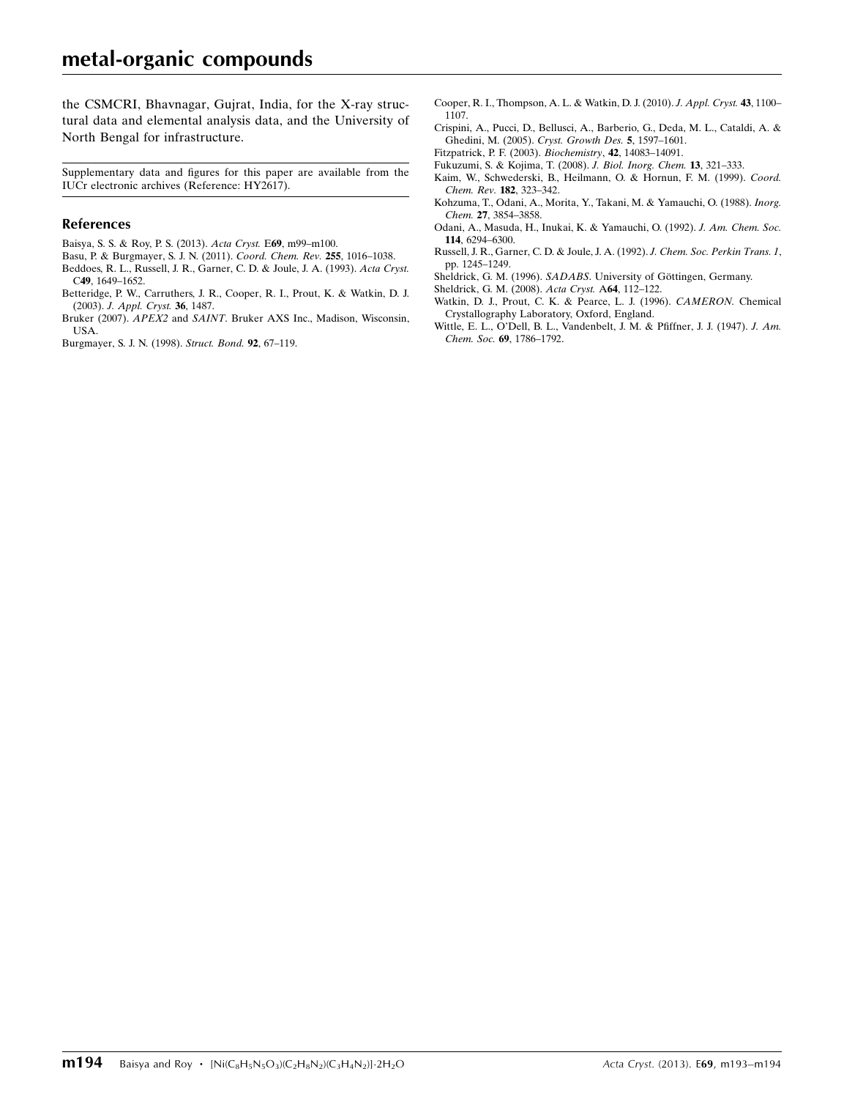the CSMCRI, Bhavnagar, Gujrat, India, for the X-ray structural data and elemental analysis data, and the University of North Bengal for infrastructure.

Supplementary data and figures for this paper are available from the IUCr electronic archives (Reference: HY2617).

#### References

- [Baisya, S. S. & Roy, P. S. \(2013\).](https://scripts.iucr.org/cgi-bin/cr.cgi?rm=pdfbb&cnor=hy2617&bbid=BB1) Acta Cryst. E69, m99–m100.
- [Basu, P. & Burgmayer, S. J. N. \(2011\).](https://scripts.iucr.org/cgi-bin/cr.cgi?rm=pdfbb&cnor=hy2617&bbid=BB2) Coord. Chem. Rev. 255, 1016–1038. [Beddoes, R. L., Russell, J. R., Garner, C. D. & Joule, J. A. \(1993\).](https://scripts.iucr.org/cgi-bin/cr.cgi?rm=pdfbb&cnor=hy2617&bbid=BB3) Acta Cryst.
- C49[, 1649–1652.](https://scripts.iucr.org/cgi-bin/cr.cgi?rm=pdfbb&cnor=hy2617&bbid=BB3) [Betteridge, P. W., Carruthers, J. R., Cooper, R. I., Prout, K. & Watkin, D. J.](https://scripts.iucr.org/cgi-bin/cr.cgi?rm=pdfbb&cnor=hy2617&bbid=BB4) (2003). [J. Appl. Cryst.](https://scripts.iucr.org/cgi-bin/cr.cgi?rm=pdfbb&cnor=hy2617&bbid=BB4) 36, 1487.
- Bruker (2007). APEX2 and SAINT[. Bruker AXS Inc., Madison, Wisconsin,](https://scripts.iucr.org/cgi-bin/cr.cgi?rm=pdfbb&cnor=hy2617&bbid=BB5) [USA.](https://scripts.iucr.org/cgi-bin/cr.cgi?rm=pdfbb&cnor=hy2617&bbid=BB5)

[Burgmayer, S. J. N. \(1998\).](https://scripts.iucr.org/cgi-bin/cr.cgi?rm=pdfbb&cnor=hy2617&bbid=BB6) Struct. Bond. 92, 67–119.

- [Cooper, R. I., Thompson, A. L. & Watkin, D. J. \(2010\).](https://scripts.iucr.org/cgi-bin/cr.cgi?rm=pdfbb&cnor=hy2617&bbid=BB7) J. Appl. Cryst. 43, 1100– [1107.](https://scripts.iucr.org/cgi-bin/cr.cgi?rm=pdfbb&cnor=hy2617&bbid=BB7)
- [Crispini, A., Pucci, D., Bellusci, A., Barberio, G., Deda, M. L., Cataldi, A. &](https://scripts.iucr.org/cgi-bin/cr.cgi?rm=pdfbb&cnor=hy2617&bbid=BB8) [Ghedini, M. \(2005\).](https://scripts.iucr.org/cgi-bin/cr.cgi?rm=pdfbb&cnor=hy2617&bbid=BB8) Cryst. Growth Des. 5, 1597–1601.
- [Fitzpatrick, P. F. \(2003\).](https://scripts.iucr.org/cgi-bin/cr.cgi?rm=pdfbb&cnor=hy2617&bbid=BB9) Biochemistry, 42, 14083–14091.
- [Fukuzumi, S. & Kojima, T. \(2008\).](https://scripts.iucr.org/cgi-bin/cr.cgi?rm=pdfbb&cnor=hy2617&bbid=BB10) J. Biol. Inorg. Chem. 13, 321–333.
- [Kaim, W., Schwederski, B., Heilmann, O. & Hornun, F. M. \(1999\).](https://scripts.iucr.org/cgi-bin/cr.cgi?rm=pdfbb&cnor=hy2617&bbid=BB11) Coord. [Chem. Rev.](https://scripts.iucr.org/cgi-bin/cr.cgi?rm=pdfbb&cnor=hy2617&bbid=BB11) 182, 323–342.
- [Kohzuma, T., Odani, A., Morita, Y., Takani, M. & Yamauchi, O. \(1988\).](https://scripts.iucr.org/cgi-bin/cr.cgi?rm=pdfbb&cnor=hy2617&bbid=BB12) Inorg. Chem. 27[, 3854–3858.](https://scripts.iucr.org/cgi-bin/cr.cgi?rm=pdfbb&cnor=hy2617&bbid=BB12)
- [Odani, A., Masuda, H., Inukai, K. & Yamauchi, O. \(1992\).](https://scripts.iucr.org/cgi-bin/cr.cgi?rm=pdfbb&cnor=hy2617&bbid=BB13) J. Am. Chem. Soc. 114[, 6294–6300.](https://scripts.iucr.org/cgi-bin/cr.cgi?rm=pdfbb&cnor=hy2617&bbid=BB13)
- [Russell, J. R., Garner, C. D. & Joule, J. A. \(1992\).](https://scripts.iucr.org/cgi-bin/cr.cgi?rm=pdfbb&cnor=hy2617&bbid=BB14) J. Chem. Soc. Perkin Trans. 1, [pp. 1245–1249.](https://scripts.iucr.org/cgi-bin/cr.cgi?rm=pdfbb&cnor=hy2617&bbid=BB14)
- Sheldrick, G. M. (1996). SADABS. University of Göttingen, Germany.
- [Sheldrick, G. M. \(2008\).](https://scripts.iucr.org/cgi-bin/cr.cgi?rm=pdfbb&cnor=hy2617&bbid=BB16) Acta Cryst. A64, 112–122.
- [Watkin, D. J., Prout, C. K. & Pearce, L. J. \(1996\).](https://scripts.iucr.org/cgi-bin/cr.cgi?rm=pdfbb&cnor=hy2617&bbid=BB17) CAMERON. Chemical [Crystallography Laboratory, Oxford, England.](https://scripts.iucr.org/cgi-bin/cr.cgi?rm=pdfbb&cnor=hy2617&bbid=BB17)
- [Wittle, E. L., O'Dell, B. L., Vandenbelt, J. M. & Pfiffner, J. J. \(1947\).](https://scripts.iucr.org/cgi-bin/cr.cgi?rm=pdfbb&cnor=hy2617&bbid=BB18) J. Am. Chem. Soc. 69[, 1786–1792.](https://scripts.iucr.org/cgi-bin/cr.cgi?rm=pdfbb&cnor=hy2617&bbid=BB18)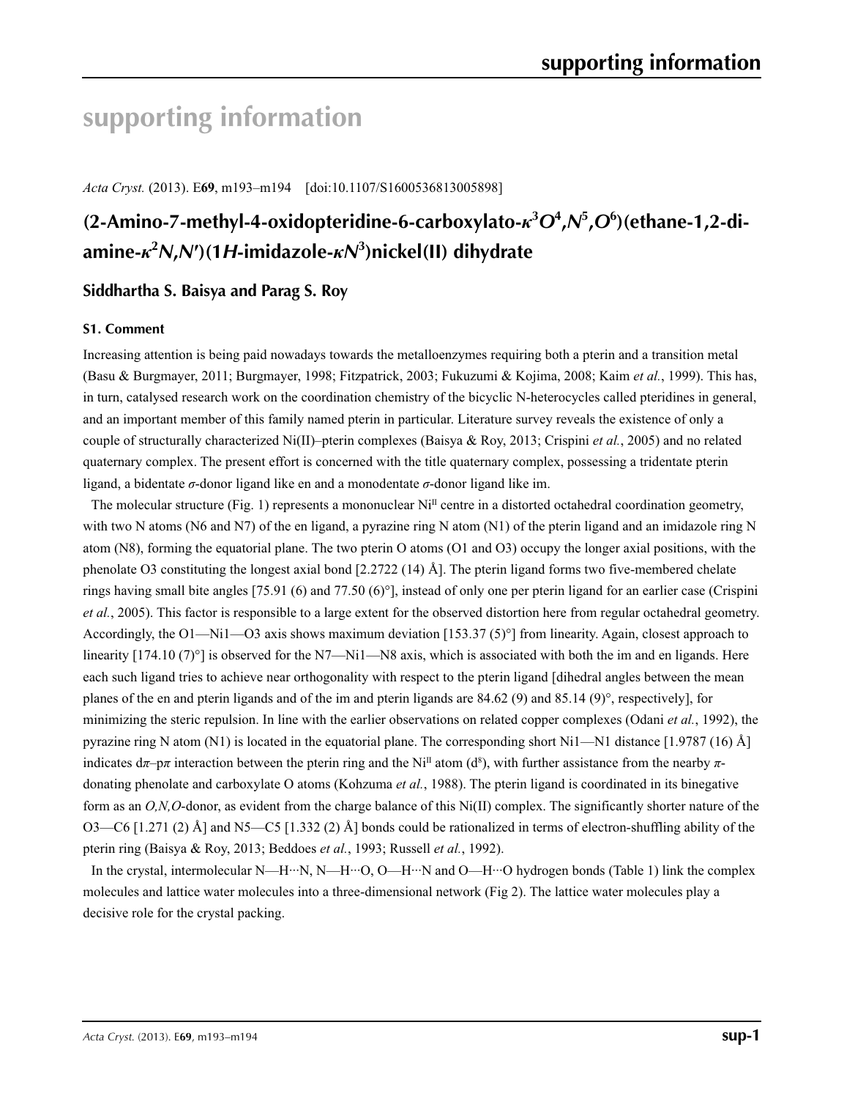# **supporting information**

*Acta Cryst.* (2013). E**69**, m193–m194 [doi:10.1107/S1600536813005898]

# **(2-Amino-7-methyl-4-oxidopteridine-6-carboxylato-***κ***<sup>3</sup>** *O***<sup>4</sup> ,***N***<sup>5</sup> ,***O***<sup>6</sup> )(ethane-1,2-diamine-***κ***<sup>2</sup>** *N***,***N***′)(1***H***-imidazole-***κN***<sup>3</sup> )nickel(II) dihydrate**

# **Siddhartha S. Baisya and Parag S. Roy**

### **S1. Comment**

Increasing attention is being paid nowadays towards the metalloenzymes requiring both a pterin and a transition metal (Basu & Burgmayer, 2011; Burgmayer, 1998; Fitzpatrick, 2003; Fukuzumi & Kojima, 2008; Kaim *et al.*, 1999). This has, in turn, catalysed research work on the coordination chemistry of the bicyclic N-heterocycles called pteridines in general, and an important member of this family named pterin in particular. Literature survey reveals the existence of only a couple of structurally characterized Ni(II)–pterin complexes (Baisya & Roy, 2013; Crispini *et al.*, 2005) and no related quaternary complex. The present effort is concerned with the title quaternary complex, possessing a tridentate pterin ligand, a bidentate *σ*-donor ligand like en and a monodentate *σ*-donor ligand like im.

The molecular structure (Fig. 1) represents a mononuclear  $Ni<sup>II</sup>$  centre in a distorted octahedral coordination geometry, with two N atoms (N6 and N7) of the en ligand, a pyrazine ring N atom (N1) of the pterin ligand and an imidazole ring N atom (N8), forming the equatorial plane. The two pterin O atoms (O1 and O3) occupy the longer axial positions, with the phenolate O3 constituting the longest axial bond  $[2.2722 (14)$  Å]. The pterin ligand forms two five-membered chelate rings having small bite angles [75.91 (6) and 77.50 (6)°], instead of only one per pterin ligand for an earlier case (Crispini *et al.*, 2005). This factor is responsible to a large extent for the observed distortion here from regular octahedral geometry. Accordingly, the O1—Ni1—O3 axis shows maximum deviation [153.37 (5)°] from linearity. Again, closest approach to linearity  $[174.10 (7)^\circ]$  is observed for the N7—Ni1—N8 axis, which is associated with both the im and en ligands. Here each such ligand tries to achieve near orthogonality with respect to the pterin ligand [dihedral angles between the mean planes of the en and pterin ligands and of the im and pterin ligands are 84.62 (9) and 85.14 (9)°, respectively], for minimizing the steric repulsion. In line with the earlier observations on related copper complexes (Odani *et al.*, 1992), the pyrazine ring N atom (N1) is located in the equatorial plane. The corresponding short Ni1—N1 distance [1.9787 (16) Å] indicates  $d\pi$ – $p\pi$  interaction between the pterin ring and the Ni<sup>II</sup> atom (d<sup>8</sup>), with further assistance from the nearby  $\pi$ donating phenolate and carboxylate O atoms (Kohzuma *et al.*, 1988). The pterin ligand is coordinated in its binegative form as an *O,N,O*-donor, as evident from the charge balance of this Ni(II) complex. The significantly shorter nature of the O3—C6 [1.271 (2) Å] and N5—C5 [1.332 (2) Å] bonds could be rationalized in terms of electron-shuffling ability of the pterin ring (Baisya & Roy, 2013; Beddoes *et al.*, 1993; Russell *et al.*, 1992).

In the crystal, intermolecular N—H···N, N—H···O, O—H···N and O—H···O hydrogen bonds (Table 1) link the complex molecules and lattice water molecules into a three-dimensional network (Fig 2). The lattice water molecules play a decisive role for the crystal packing.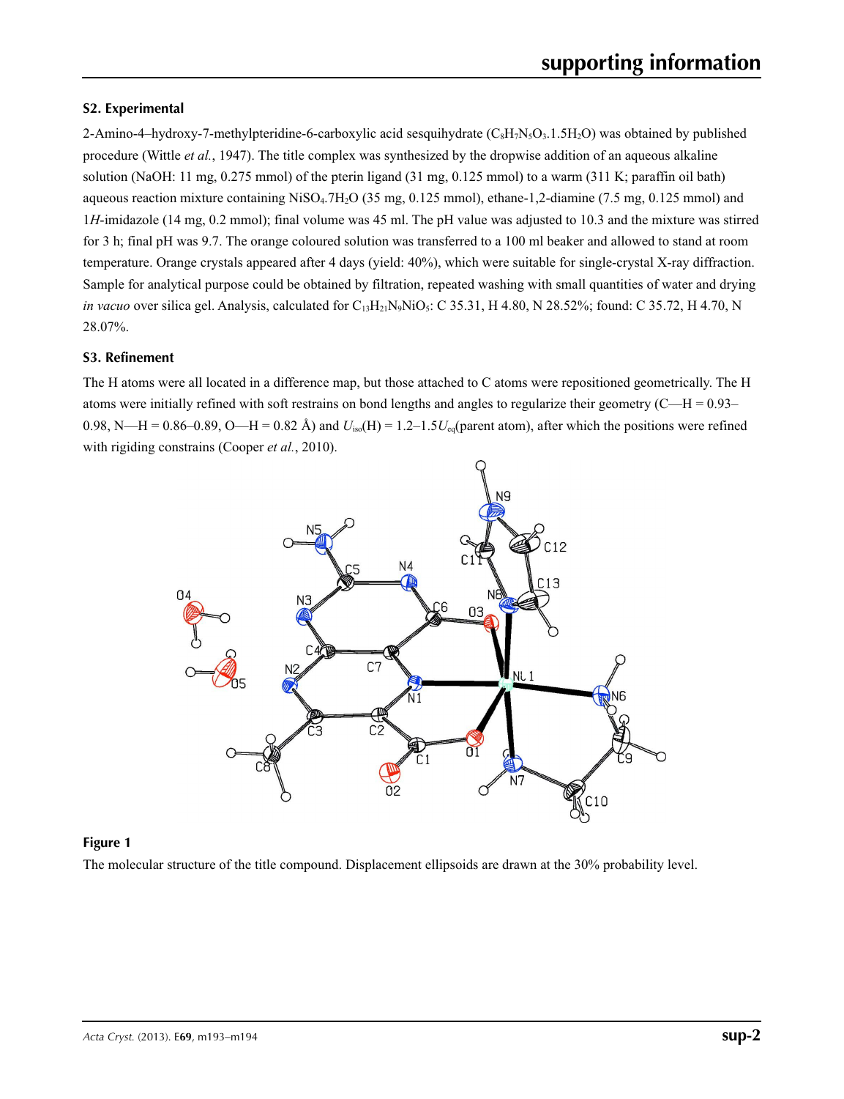## **S2. Experimental**

2-Amino-4–hydroxy-7-methylpteridine-6-carboxylic acid sesquihydrate  $(C_8H_7N_5O_3.1.5H_2O)$  was obtained by published procedure (Wittle *et al.*, 1947). The title complex was synthesized by the dropwise addition of an aqueous alkaline solution (NaOH: 11 mg, 0.275 mmol) of the pterin ligand (31 mg, 0.125 mmol) to a warm (311 K; paraffin oil bath) aqueous reaction mixture containing  $Niso<sub>4</sub>$ .7H<sub>2</sub>O (35 mg, 0.125 mmol), ethane-1,2-diamine (7.5 mg, 0.125 mmol) and 1*H*-imidazole (14 mg, 0.2 mmol); final volume was 45 ml. The pH value was adjusted to 10.3 and the mixture was stirred for 3 h; final pH was 9.7. The orange coloured solution was transferred to a 100 ml beaker and allowed to stand at room temperature. Orange crystals appeared after 4 days (yield: 40%), which were suitable for single-crystal X-ray diffraction. Sample for analytical purpose could be obtained by filtration, repeated washing with small quantities of water and drying *in vacuo* over silica gel. Analysis, calculated for  $C_{13}H_{21}N_9NiO_5$ : C 35.31, H 4.80, N 28.52%; found: C 35.72, H 4.70, N 28.07%.

## **S3. Refinement**

The H atoms were all located in a difference map, but those attached to C atoms were repositioned geometrically. The H atoms were initially refined with soft restrains on bond lengths and angles to regularize their geometry  $(C-H = 0.93-$ 0.98, N—H = 0.86–0.89, O—H = 0.82 Å) and  $U_{iso}(H) = 1.2-1.5U_{eq}(parent atom)$ , after which the positions were refined with rigiding constrains (Cooper *et al.*, 2010).



### **Figure 1**

The molecular structure of the title compound. Displacement ellipsoids are drawn at the 30% probability level.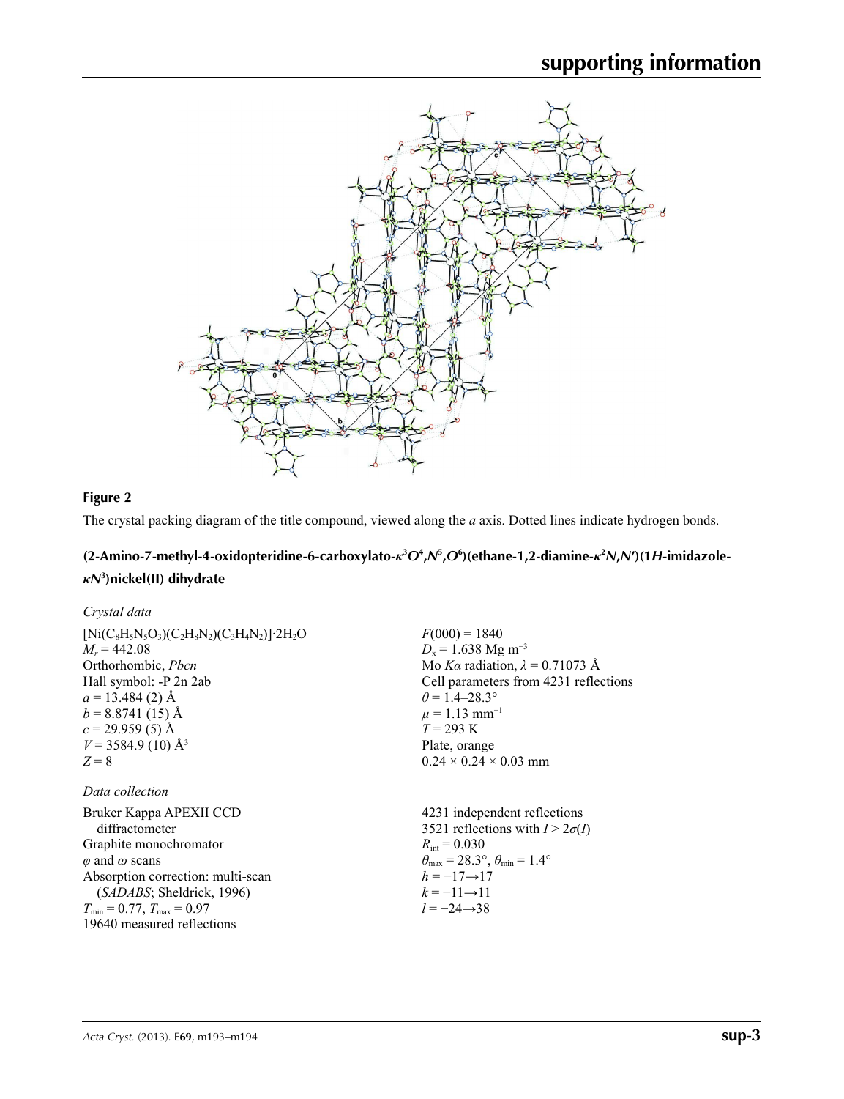

## **Figure 2**

The crystal packing diagram of the title compound, viewed along the *a* axis. Dotted lines indicate hydrogen bonds.

# (2-Amino-7-methyl-4-oxidopteridine-6-carboxylato- $\kappa^3O^4$ , N<sup>5</sup>, O<sup>6</sup>)(ethane-1, 2-diamine- $\kappa^2N$ , N')(1H-imidazole*κN***<sup>3</sup> )nickel(II) dihydrate**

| Crystal data                                                 |                                                                         |
|--------------------------------------------------------------|-------------------------------------------------------------------------|
| $[Ni(C_8H_5N_5O_3)(C_2H_8N_2)(C_3H_4N_2)]$ 2H <sub>2</sub> O | $F(000) = 1840$                                                         |
| $M_r = 442.08$                                               | $D_x = 1.638$ Mg m <sup>-3</sup>                                        |
| Orthorhombic, Pbcn                                           | Mo Ka radiation, $\lambda = 0.71073$ Å                                  |
| Hall symbol: -P 2n 2ab                                       | Cell parameters from 4231 reflections                                   |
| $a = 13.484$ (2) Å                                           | $\theta$ = 1.4–28.3°                                                    |
| $b = 8.8741(15)$ Å                                           | $\mu = 1.13$ mm <sup>-1</sup>                                           |
| $c = 29.959(5)$ Å                                            | $T = 293 \text{ K}$                                                     |
| $V = 3584.9$ (10) Å <sup>3</sup>                             | Plate, orange                                                           |
| $Z = 8$                                                      | $0.24 \times 0.24 \times 0.03$ mm                                       |
| Data collection                                              |                                                                         |
| Bruker Kappa APEXII CCD                                      | 4231 independent reflections                                            |
| diffractometer                                               | 3521 reflections with $I > 2\sigma(I)$                                  |
| Graphite monochromator                                       | $R_{\text{int}} = 0.030$                                                |
| $\varphi$ and $\omega$ scans                                 | $\theta_{\text{max}} = 28.3^{\circ}, \theta_{\text{min}} = 1.4^{\circ}$ |
| Absorption correction: multi-scan                            | $h = -17 \rightarrow 17$                                                |
| (SADABS; Sheldrick, 1996)                                    | $k = -11 \rightarrow 11$                                                |
| $T_{\min} = 0.77$ , $T_{\max} = 0.97$                        | $l = -24 \rightarrow 38$                                                |
| 19640 measured reflections                                   |                                                                         |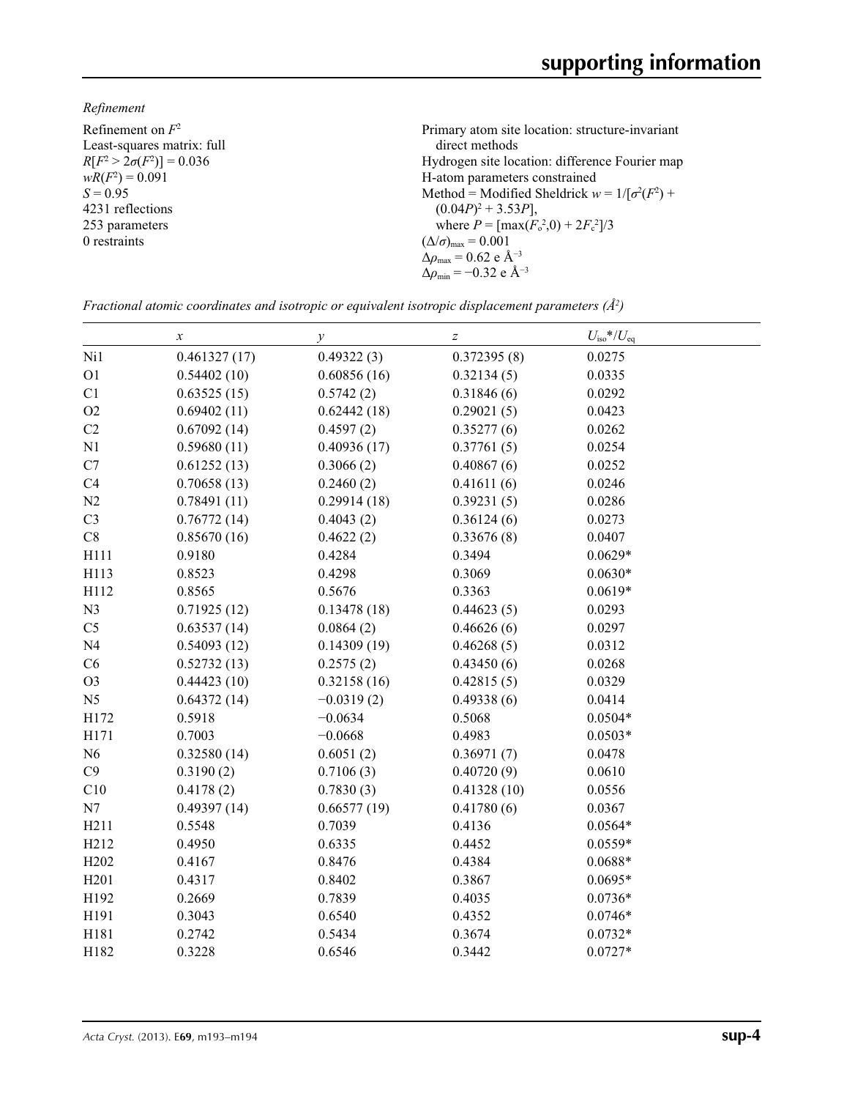*Refinement*

| Refinement on $F^2$             | Primary atom site location: structure-invariant           |
|---------------------------------|-----------------------------------------------------------|
| Least-squares matrix: full      | direct methods                                            |
| $R[F^2 > 2\sigma(F^2)] = 0.036$ | Hydrogen site location: difference Fourier map            |
| $wR(F^2) = 0.091$               | H-atom parameters constrained                             |
| $S = 0.95$                      | Method = Modified Sheldrick $w = 1/[\sigma^2(F^2) +$      |
| 4231 reflections                | $(0.04P)^2 + 3.53P$ ],                                    |
| 253 parameters                  | where $P = \frac{\max(F_o^2, 0) + 2F_c^2}{3}$             |
| 0 restraints                    | $(\Delta/\sigma)_{\text{max}} = 0.001$                    |
|                                 | $\Delta \rho_{\text{max}} = 0.62 \text{ e A}^{-3}$        |
|                                 | $\Delta\rho_{\rm min} = -0.32 \text{ e } \text{\AA}^{-3}$ |

*Fractional atomic coordinates and isotropic or equivalent isotropic displacement parameters (Å<sup>2</sup>)* 

|                  | $\boldsymbol{x}$ | $\mathcal{Y}$ | $\boldsymbol{Z}$ | $U_{\rm iso}*/U_{\rm eq}$ |  |
|------------------|------------------|---------------|------------------|---------------------------|--|
| Ni1              | 0.461327(17)     | 0.49322(3)    | 0.372395(8)      | 0.0275                    |  |
| O <sub>1</sub>   | 0.54402(10)      | 0.60856(16)   | 0.32134(5)       | 0.0335                    |  |
| C1               | 0.63525(15)      | 0.5742(2)     | 0.31846(6)       | 0.0292                    |  |
| O2               | 0.69402(11)      | 0.62442(18)   | 0.29021(5)       | 0.0423                    |  |
| C2               | 0.67092(14)      | 0.4597(2)     | 0.35277(6)       | 0.0262                    |  |
| N1               | 0.59680(11)      | 0.40936(17)   | 0.37761(5)       | 0.0254                    |  |
| C7               | 0.61252(13)      | 0.3066(2)     | 0.40867(6)       | 0.0252                    |  |
| C4               | 0.70658(13)      | 0.2460(2)     | 0.41611(6)       | 0.0246                    |  |
| N2               | 0.78491(11)      | 0.29914(18)   | 0.39231(5)       | 0.0286                    |  |
| C <sub>3</sub>   | 0.76772(14)      | 0.4043(2)     | 0.36124(6)       | 0.0273                    |  |
| $\rm{C}8$        | 0.85670(16)      | 0.4622(2)     | 0.33676(8)       | 0.0407                    |  |
| H111             | 0.9180           | 0.4284        | 0.3494           | $0.0629*$                 |  |
| H113             | 0.8523           | 0.4298        | 0.3069           | $0.0630*$                 |  |
| H112             | 0.8565           | 0.5676        | 0.3363           | $0.0619*$                 |  |
| N3               | 0.71925(12)      | 0.13478(18)   | 0.44623(5)       | 0.0293                    |  |
| C <sub>5</sub>   | 0.63537(14)      | 0.0864(2)     | 0.46626(6)       | 0.0297                    |  |
| N <sub>4</sub>   | 0.54093(12)      | 0.14309(19)   | 0.46268(5)       | 0.0312                    |  |
| C6               | 0.52732(13)      | 0.2575(2)     | 0.43450(6)       | 0.0268                    |  |
| O <sub>3</sub>   | 0.44423(10)      | 0.32158(16)   | 0.42815(5)       | 0.0329                    |  |
| N <sub>5</sub>   | 0.64372(14)      | $-0.0319(2)$  | 0.49338(6)       | 0.0414                    |  |
| H172             | 0.5918           | $-0.0634$     | 0.5068           | $0.0504*$                 |  |
| H171             | 0.7003           | $-0.0668$     | 0.4983           | $0.0503*$                 |  |
| N <sub>6</sub>   | 0.32580(14)      | 0.6051(2)     | 0.36971(7)       | 0.0478                    |  |
| C9               | 0.3190(2)        | 0.7106(3)     | 0.40720(9)       | 0.0610                    |  |
| C10              | 0.4178(2)        | 0.7830(3)     | 0.41328(10)      | 0.0556                    |  |
| N7               | 0.49397(14)      | 0.66577(19)   | 0.41780(6)       | 0.0367                    |  |
| H211             | 0.5548           | 0.7039        | 0.4136           | $0.0564*$                 |  |
| H212             | 0.4950           | 0.6335        | 0.4452           | $0.0559*$                 |  |
| H <sub>202</sub> | 0.4167           | 0.8476        | 0.4384           | $0.0688*$                 |  |
| H <sub>201</sub> | 0.4317           | 0.8402        | 0.3867           | $0.0695*$                 |  |
| H192             | 0.2669           | 0.7839        | 0.4035           | $0.0736*$                 |  |
| H191             | 0.3043           | 0.6540        | 0.4352           | $0.0746*$                 |  |
| H181             | 0.2742           | 0.5434        | 0.3674           | $0.0732*$                 |  |
| H182             | 0.3228           | 0.6546        | 0.3442           | $0.0727*$                 |  |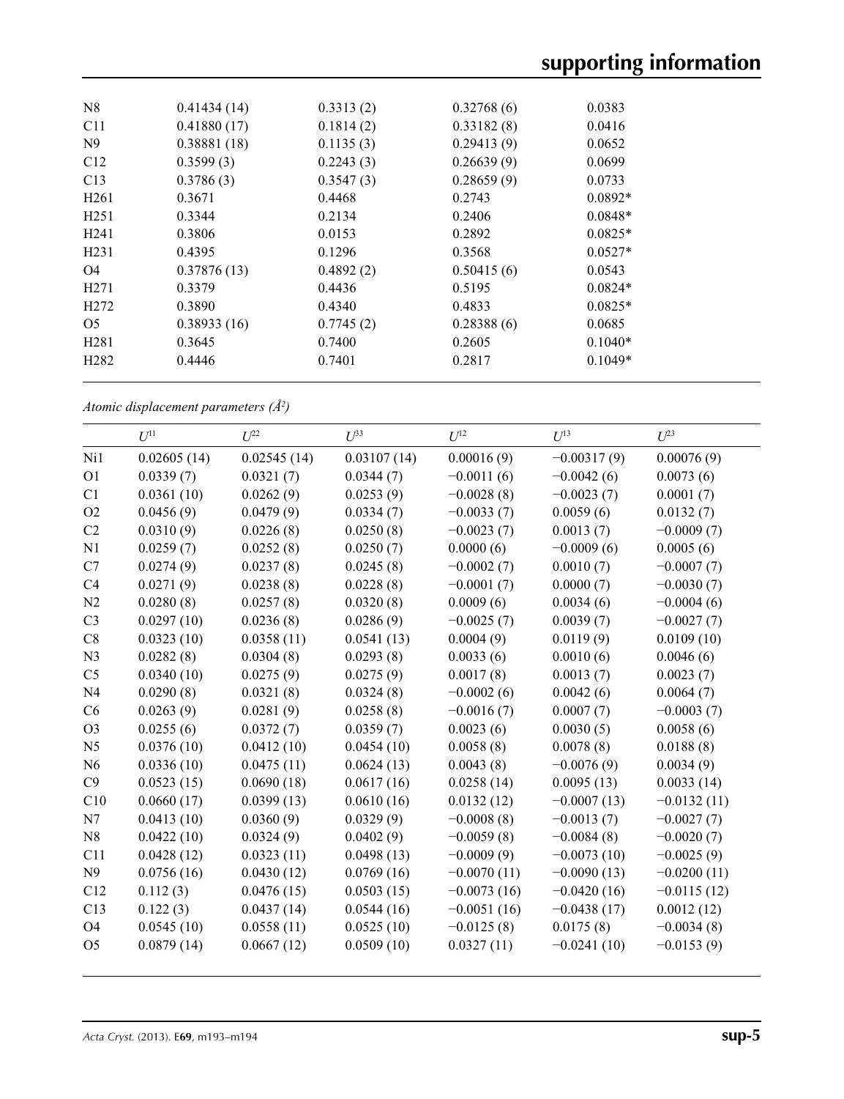| 0.41434(14) | 0.3313(2) | 0.32768(6) | 0.0383    |
|-------------|-----------|------------|-----------|
| 0.41880(17) | 0.1814(2) | 0.33182(8) | 0.0416    |
| 0.38881(18) | 0.1135(3) | 0.29413(9) | 0.0652    |
| 0.3599(3)   | 0.2243(3) | 0.26639(9) | 0.0699    |
| 0.3786(3)   | 0.3547(3) | 0.28659(9) | 0.0733    |
| 0.3671      | 0.4468    | 0.2743     | $0.0892*$ |
| 0.3344      | 0.2134    | 0.2406     | $0.0848*$ |
| 0.3806      | 0.0153    | 0.2892     | $0.0825*$ |
| 0.4395      | 0.1296    | 0.3568     | $0.0527*$ |
| 0.37876(13) | 0.4892(2) | 0.50415(6) | 0.0543    |
| 0.3379      | 0.4436    | 0.5195     | $0.0824*$ |
| 0.3890      | 0.4340    | 0.4833     | $0.0825*$ |
| 0.38933(16) | 0.7745(2) | 0.28388(6) | 0.0685    |
| 0.3645      | 0.7400    | 0.2605     | $0.1040*$ |
| 0.4446      | 0.7401    | 0.2817     | $0.1049*$ |
|             |           |            |           |

*Atomic displacement parameters (Å2 )*

|                | $U^{11}$    | $U^{22}$    | $U^{33}$    | $U^{12}$      | $U^{13}$      | $U^{23}$      |
|----------------|-------------|-------------|-------------|---------------|---------------|---------------|
| Ni1            | 0.02605(14) | 0.02545(14) | 0.03107(14) | 0.00016(9)    | $-0.00317(9)$ | 0.00076(9)    |
| O <sub>1</sub> | 0.0339(7)   | 0.0321(7)   | 0.0344(7)   | $-0.0011(6)$  | $-0.0042(6)$  | 0.0073(6)     |
| C1             | 0.0361(10)  | 0.0262(9)   | 0.0253(9)   | $-0.0028(8)$  | $-0.0023(7)$  | 0.0001(7)     |
| O <sub>2</sub> | 0.0456(9)   | 0.0479(9)   | 0.0334(7)   | $-0.0033(7)$  | 0.0059(6)     | 0.0132(7)     |
| C <sub>2</sub> | 0.0310(9)   | 0.0226(8)   | 0.0250(8)   | $-0.0023(7)$  | 0.0013(7)     | $-0.0009(7)$  |
| N <sub>1</sub> | 0.0259(7)   | 0.0252(8)   | 0.0250(7)   | 0.0000(6)     | $-0.0009(6)$  | 0.0005(6)     |
| C7             | 0.0274(9)   | 0.0237(8)   | 0.0245(8)   | $-0.0002(7)$  | 0.0010(7)     | $-0.0007(7)$  |
| C4             | 0.0271(9)   | 0.0238(8)   | 0.0228(8)   | $-0.0001(7)$  | 0.0000(7)     | $-0.0030(7)$  |
| N <sub>2</sub> | 0.0280(8)   | 0.0257(8)   | 0.0320(8)   | 0.0009(6)     | 0.0034(6)     | $-0.0004(6)$  |
| C <sub>3</sub> | 0.0297(10)  | 0.0236(8)   | 0.0286(9)   | $-0.0025(7)$  | 0.0039(7)     | $-0.0027(7)$  |
| C8             | 0.0323(10)  | 0.0358(11)  | 0.0541(13)  | 0.0004(9)     | 0.0119(9)     | 0.0109(10)    |
| N <sub>3</sub> | 0.0282(8)   | 0.0304(8)   | 0.0293(8)   | 0.0033(6)     | 0.0010(6)     | 0.0046(6)     |
| C <sub>5</sub> | 0.0340(10)  | 0.0275(9)   | 0.0275(9)   | 0.0017(8)     | 0.0013(7)     | 0.0023(7)     |
| N <sub>4</sub> | 0.0290(8)   | 0.0321(8)   | 0.0324(8)   | $-0.0002(6)$  | 0.0042(6)     | 0.0064(7)     |
| C <sub>6</sub> | 0.0263(9)   | 0.0281(9)   | 0.0258(8)   | $-0.0016(7)$  | 0.0007(7)     | $-0.0003(7)$  |
| O <sub>3</sub> | 0.0255(6)   | 0.0372(7)   | 0.0359(7)   | 0.0023(6)     | 0.0030(5)     | 0.0058(6)     |
| N <sub>5</sub> | 0.0376(10)  | 0.0412(10)  | 0.0454(10)  | 0.0058(8)     | 0.0078(8)     | 0.0188(8)     |
| N6             | 0.0336(10)  | 0.0475(11)  | 0.0624(13)  | 0.0043(8)     | $-0.0076(9)$  | 0.0034(9)     |
| C9             | 0.0523(15)  | 0.0690(18)  | 0.0617(16)  | 0.0258(14)    | 0.0095(13)    | 0.0033(14)    |
| C10            | 0.0660(17)  | 0.0399(13)  | 0.0610(16)  | 0.0132(12)    | $-0.0007(13)$ | $-0.0132(11)$ |
| N7             | 0.0413(10)  | 0.0360(9)   | 0.0329(9)   | $-0.0008(8)$  | $-0.0013(7)$  | $-0.0027(7)$  |
| N8             | 0.0422(10)  | 0.0324(9)   | 0.0402(9)   | $-0.0059(8)$  | $-0.0084(8)$  | $-0.0020(7)$  |
| C11            | 0.0428(12)  | 0.0323(11)  | 0.0498(13)  | $-0.0009(9)$  | $-0.0073(10)$ | $-0.0025(9)$  |
| N <sup>9</sup> | 0.0756(16)  | 0.0430(12)  | 0.0769(16)  | $-0.0070(11)$ | $-0.0090(13)$ | $-0.0200(11)$ |
| C12            | 0.112(3)    | 0.0476(15)  | 0.0503(15)  | $-0.0073(16)$ | $-0.0420(16)$ | $-0.0115(12)$ |
| C13            | 0.122(3)    | 0.0437(14)  | 0.0544(16)  | $-0.0051(16)$ | $-0.0438(17)$ | 0.0012(12)    |
| <b>O4</b>      | 0.0545(10)  | 0.0558(11)  | 0.0525(10)  | $-0.0125(8)$  | 0.0175(8)     | $-0.0034(8)$  |
| O <sub>5</sub> | 0.0879(14)  | 0.0667(12)  | 0.0509(10)  | 0.0327(11)    | $-0.0241(10)$ | $-0.0153(9)$  |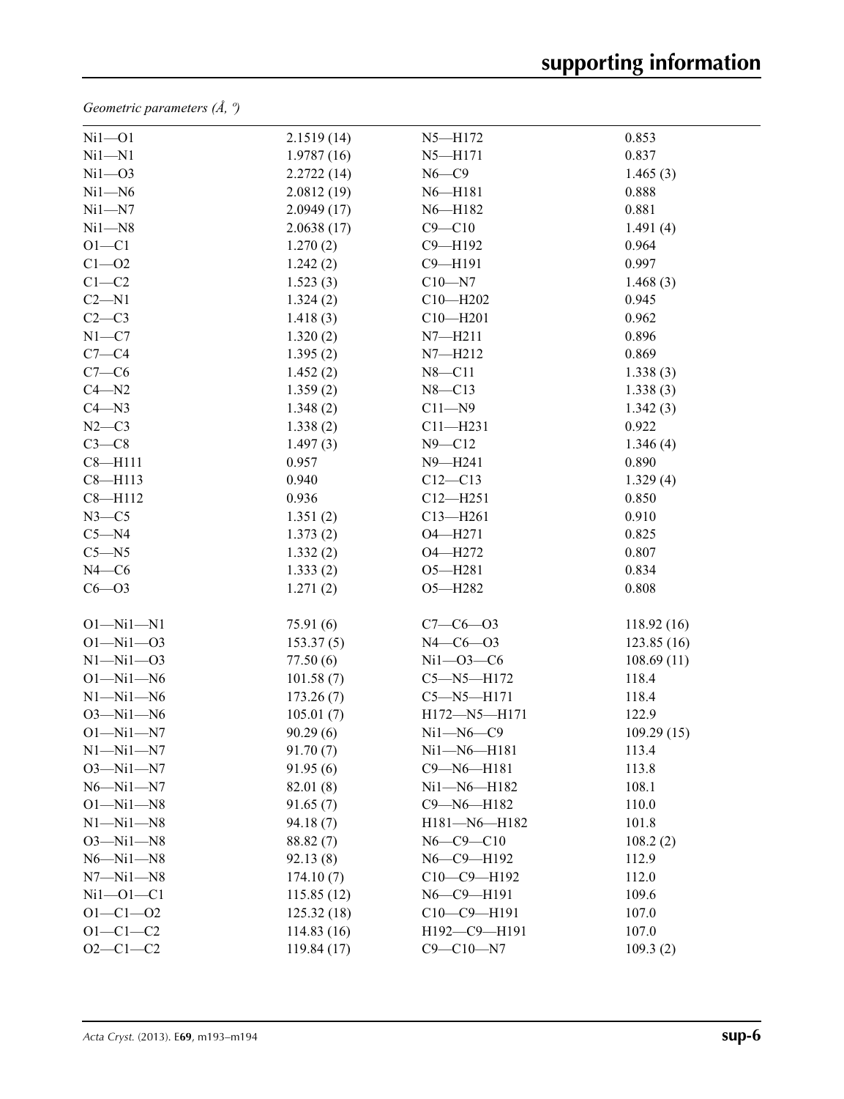*Geometric parameters (Å, º)*

| $Ni1 - O1$      | 2.1519(14)  | $N5 - H172$      | 0.853       |  |
|-----------------|-------------|------------------|-------------|--|
| $Ni1 - N1$      | 1.9787(16)  | $N5 - H171$      | 0.837       |  |
| $Ni1 - O3$      | 2.2722(14)  | $N6-C9$          | 1.465(3)    |  |
| $Ni1 - N6$      | 2.0812(19)  | N6-H181          | 0.888       |  |
| $Ni1 - N7$      | 2.0949(17)  | N6-H182          | 0.881       |  |
| $Ni1 - N8$      | 2.0638(17)  | $C9 - C10$       | 1.491(4)    |  |
| $O1 - C1$       | 1.270(2)    | $C9 - H192$      | 0.964       |  |
| $C1 - 02$       | 1.242(2)    | $C9 - H191$      | 0.997       |  |
| $C1-C2$         | 1.523(3)    | $C10 - N7$       | 1.468(3)    |  |
| $C2 - N1$       | 1.324(2)    | $C10 - H202$     | 0.945       |  |
| $C2-C3$         | 1.418(3)    | $C10 - H201$     | 0.962       |  |
| $N1 - C7$       | 1.320(2)    | $N7 - H211$      | 0.896       |  |
| $C7-C4$         | 1.395(2)    | $N7 - H212$      | 0.869       |  |
| $C7-C6$         | 1.452(2)    | $N8 - C11$       | 1.338(3)    |  |
| $C4 - N2$       | 1.359(2)    | $N8 - C13$       | 1.338(3)    |  |
| $C4 - N3$       | 1.348(2)    | $C11 - N9$       | 1.342(3)    |  |
| $N2-C3$         | 1.338(2)    | $C11 - H231$     | 0.922       |  |
| $C3-C8$         | 1.497(3)    | $N9 - C12$       | 1.346(4)    |  |
| $C8 - H111$     | 0.957       | $N9 - H241$      | 0.890       |  |
| $C8 - H113$     | 0.940       | $C12 - C13$      | 1.329(4)    |  |
| $C8 - H112$     | 0.936       | $C12 - H251$     | 0.850       |  |
| $N3-C5$         | 1.351(2)    | $C13 - H261$     | 0.910       |  |
| $C5 - N4$       | 1.373(2)    | O4-H271          | 0.825       |  |
| $C5 - N5$       | 1.332(2)    | O4-H272          | 0.807       |  |
| $N4-C6$         | 1.333(2)    | $O5 - H281$      | 0.834       |  |
| $C6 - O3$       | 1.271(2)    | O5-H282          | 0.808       |  |
| $O1 - Ni1 - N1$ | 75.91 (6)   | $C7 - C6 - O3$   | 118.92(16)  |  |
| $O1 - Ni1 - O3$ | 153.37(5)   | $N4 - C6 - O3$   | 123.85 (16) |  |
| $N1 - N11 - O3$ | 77.50(6)    | $Ni1 - O3 - C6$  | 108.69(11)  |  |
| $O1 - N11 - N6$ | 101.58(7)   | $C5 - N5 - H172$ | 118.4       |  |
| $N1 - N11 - N6$ | 173.26(7)   | $C5 - N5 - H171$ | 118.4       |  |
| $O3 - Ni1 - N6$ | 105.01(7)   | H172-N5-H171     | 122.9       |  |
| $O1 - Ni1 - N7$ | 90.29(6)    | $Ni1 - N6 - C9$  | 109.29(15)  |  |
| $N1 - N11 - N7$ | 91.70(7)    | Ni1-N6-H181      | 113.4       |  |
| $O3 - Ni1 - N7$ | 91.95(6)    | C9-N6-H181       | 113.8       |  |
| $N6 - N11 - N7$ | 82.01 (8)   | Ni1-N6-H182      | 108.1       |  |
| $O1 - Ni1 - N8$ | 91.65(7)    | C9-N6-H182       | 110.0       |  |
| $N1 - N11 - N8$ | 94.18(7)    | H181-N6-H182     | 101.8       |  |
| $O3 - Ni1 - N8$ | 88.82(7)    | $N6 - C9 - C10$  | 108.2(2)    |  |
| $N6 - N11 - N8$ | 92.13(8)    | N6-C9-H192       | 112.9       |  |
| $N7 - N11 - N8$ | 174.10(7)   | C10-C9-H192      | 112.0       |  |
| $Ni1 - O1 - C1$ | 115.85(12)  | N6-C9-H191       | 109.6       |  |
| $O1 - C1 - O2$  | 125.32(18)  | C10-C9-H191      | 107.0       |  |
| $O1 - C1 - C2$  | 114.83(16)  | H192-C9-H191     | 107.0       |  |
| $O2 - C1 - C2$  | 119.84 (17) | $C9 - C10 - N7$  | 109.3(2)    |  |